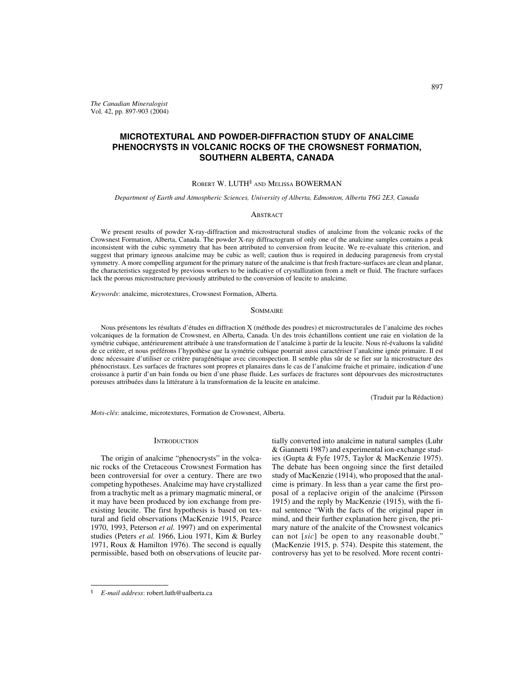*The Canadian Mineralogist* Vol. 42, pp. 897-903 (2004)

# **MICROTEXTURAL AND POWDER-DIFFRACTION STUDY OF ANALCIME PHENOCRYSTS IN VOLCANIC ROCKS OF THE CROWSNEST FORMATION, SOUTHERN ALBERTA, CANADA**

## ROBERT W. LUTH§ AND MELISSA BOWERMAN

*Department of Earth and Atmospheric Sciences, University of Alberta, Edmonton, Alberta T6G 2E3, Canada*

## **ABSTRACT**

We present results of powder X-ray-diffraction and microstructural studies of analcime from the volcanic rocks of the Crowsnest Formation, Alberta, Canada. The powder X-ray diffractogram of only one of the analcime samples contains a peak inconsistent with the cubic symmetry that has been attributed to conversion from leucite. We re-evaluate this criterion, and suggest that primary igneous analcime may be cubic as well; caution thus is required in deducing paragenesis from crystal symmetry. A more compelling argument for the primary nature of the analcime is that fresh fracture-surfaces are clean and planar, the characteristics suggested by previous workers to be indicative of crystallization from a melt or fluid. The fracture surfaces lack the porous microstructure previously attributed to the conversion of leucite to analcime.

*Keywords*: analcime, microtextures, Crowsnest Formation, Alberta.

#### **SOMMAIRE**

Nous présentons les résultats d'études en diffraction X (méthode des poudres) et microstructurales de l'analcime des roches volcaniques de la formation de Crowsnest, en Alberta, Canada. Un des trois échantillons contient une raie en violation de la symétrie cubique, antérieurement attribuée à une transformation de l'analcime à partir de la leucite. Nous ré-évaluons la validité de ce critère, et nous préférons l'hypothèse que la symétrie cubique pourrait aussi caractériser l'analcime ignée primaire. Il est donc nécessaire d'utiliser ce critère paragénétique avec circonspection. Il semble plus sûr de se fier sur la microstructure des phénocristaux. Les surfaces de fractures sont propres et planaires dans le cas de l'analcime fraiche et primaire, indication d'une croissance à partir d'un bain fondu ou bien d'une phase fluide. Les surfaces de fractures sont dépourvues des microstructures poreuses attribuées dans la littérature à la transformation de la leucite en analcime.

(Traduit par la Rédaction)

*Mots-clés*: analcime, microtextures, Formation de Crowsnest, Alberta.

## **INTRODUCTION**

The origin of analcime "phenocrysts" in the volcanic rocks of the Cretaceous Crowsnest Formation has been controversial for over a century. There are two competing hypotheses. Analcime may have crystallized from a trachytic melt as a primary magmatic mineral, or it may have been produced by ion exchange from preexisting leucite. The first hypothesis is based on textural and field observations (MacKenzie 1915, Pearce 1970, 1993, Peterson *et al.* 1997) and on experimental studies (Peters *et al.* 1966, Liou 1971, Kim & Burley 1971, Roux & Hamilton 1976). The second is equally permissible, based both on observations of leucite partially converted into analcime in natural samples (Luhr & Giannetti 1987) and experimental ion-exchange studies (Gupta & Fyfe 1975, Taylor & MacKenzie 1975). The debate has been ongoing since the first detailed study of MacKenzie (1914), who proposed that the analcime is primary. In less than a year came the first proposal of a replacive origin of the analcime (Pirsson 1915) and the reply by MacKenzie (1915), with the final sentence "With the facts of the original paper in mind, and their further explanation here given, the primary nature of the analcite of the Crowsnest volcanics can not [*sic*] be open to any reasonable doubt." (MacKenzie 1915, p. 574). Despite this statement, the controversy has yet to be resolved. More recent contri-

<sup>§</sup> *E-mail address*: robert.luth@ualberta.ca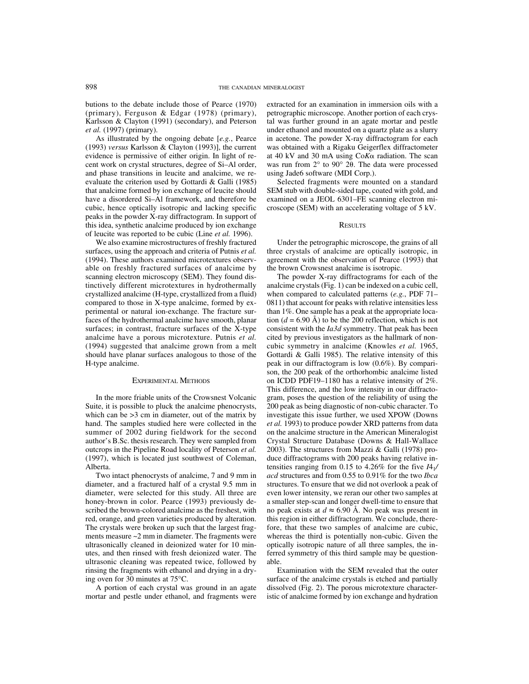butions to the debate include those of Pearce (1970) (primary), Ferguson & Edgar (1978) (primary), Karlsson & Clayton (1991) (secondary), and Peterson *et al.* (1997) (primary).

As illustrated by the ongoing debate [*e.g.*, Pearce (1993) *versus* Karlsson & Clayton (1993)], the current evidence is permissive of either origin. In light of recent work on crystal structures, degree of Si–Al order, and phase transitions in leucite and analcime, we reevaluate the criterion used by Gottardi & Galli (1985) that analcime formed by ion exchange of leucite should have a disordered Si–Al framework, and therefore be cubic, hence optically isotropic and lacking specific peaks in the powder X-ray diffractogram. In support of this idea, synthetic analcime produced by ion exchange of leucite was reported to be cubic (Line *et al.* 1996).

We also examine microstructures of freshly fractured surfaces, using the approach and criteria of Putnis *et al.* (1994). These authors examined microtextures observable on freshly fractured surfaces of analcime by scanning electron microscopy (SEM). They found distinctively different microtextures in hydrothermally crystallized analcime (H-type, crystallized from a fluid) compared to those in X-type analcime, formed by experimental or natural ion-exchange. The fracture surfaces of the hydrothermal analcime have smooth, planar surfaces; in contrast, fracture surfaces of the X-type analcime have a porous microtexture. Putnis *et al.* (1994) suggested that analcime grown from a melt should have planar surfaces analogous to those of the H-type analcime.

#### EXPERIMENTAL METHODS

In the more friable units of the Crowsnest Volcanic Suite, it is possible to pluck the analcime phenocrysts, which can be  $>3$  cm in diameter, out of the matrix by hand. The samples studied here were collected in the summer of 2002 during fieldwork for the second author's B.Sc. thesis research. They were sampled from outcrops in the Pipeline Road locality of Peterson *et al.* (1997), which is located just southwest of Coleman, Alberta.

Two intact phenocrysts of analcime, 7 and 9 mm in diameter, and a fractured half of a crystal 9.5 mm in diameter, were selected for this study. All three are honey-brown in color. Pearce (1993) previously described the brown-colored analcime as the freshest, with red, orange, and green varieties produced by alteration. The crystals were broken up such that the largest fragments measure ~2 mm in diameter. The fragments were ultrasonically cleaned in deionized water for 10 minutes, and then rinsed with fresh deionized water. The ultrasonic cleaning was repeated twice, followed by rinsing the fragments with ethanol and drying in a drying oven for 30 minutes at 75°C.

A portion of each crystal was ground in an agate mortar and pestle under ethanol, and fragments were extracted for an examination in immersion oils with a petrographic microscope. Another portion of each crystal was further ground in an agate mortar and pestle under ethanol and mounted on a quartz plate as a slurry in acetone. The powder X-ray diffractogram for each was obtained with a Rigaku Geigerflex diffractometer at 40 kV and 30 mA using Co*K* $\alpha$  radiation. The scan was run from  $2^{\circ}$  to  $90^{\circ}$   $2\theta$ . The data were processed using Jade6 software (MDI Corp.).

Selected fragments were mounted on a standard SEM stub with double-sided tape, coated with gold, and examined on a JEOL 6301–FE scanning electron microscope (SEM) with an accelerating voltage of 5 kV.

### **RESULTS**

Under the petrographic microscope, the grains of all three crystals of analcime are optically isotropic, in agreement with the observation of Pearce (1993) that the brown Crowsnest analcime is isotropic.

The powder X-ray diffractograms for each of the analcime crystals (Fig. 1) can be indexed on a cubic cell, when compared to calculated patterns (*e.g.*, PDF 71– 0811) that account for peaks with relative intensities less than 1%. One sample has a peak at the appropriate location  $(d = 6.90 \text{ Å})$  to be the 200 reflection, which is not consistent with the *Ia3d* symmetry. That peak has been cited by previous investigators as the hallmark of noncubic symmetry in analcime (Knowles *et al.* 1965, Gottardi & Galli 1985). The relative intensity of this peak in our diffractogram is low (0.6%). By comparison, the 200 peak of the orthorhombic analcime listed on ICDD PDF19–1180 has a relative intensity of 2%. This difference, and the low intensity in our diffractogram, poses the question of the reliability of using the 200 peak as being diagnostic of non-cubic character. To investigate this issue further, we used XPOW (Downs *et al.* 1993) to produce powder XRD patterns from data on the analcime structure in the American Mineralogist Crystal Structure Database (Downs & Hall-Wallace 2003). The structures from Mazzi & Galli (1978) produce diffractograms with 200 peaks having relative intensities ranging from 0.15 to 4.26% for the five *I*41*/ acd* structures and from 0.55 to 0.91% for the two *Ibca* structures. To ensure that we did not overlook a peak of even lower intensity, we reran our other two samples at a smaller step-scan and longer dwell-time to ensure that no peak exists at  $d \approx 6.90$  Å. No peak was present in this region in either diffractogram. We conclude, therefore, that these two samples of analcime are cubic, whereas the third is potentially non-cubic. Given the optically isotropic nature of all three samples, the inferred symmetry of this third sample may be questionable.

Examination with the SEM revealed that the outer surface of the analcime crystals is etched and partially dissolved (Fig. 2). The porous microtexture characteristic of analcime formed by ion exchange and hydration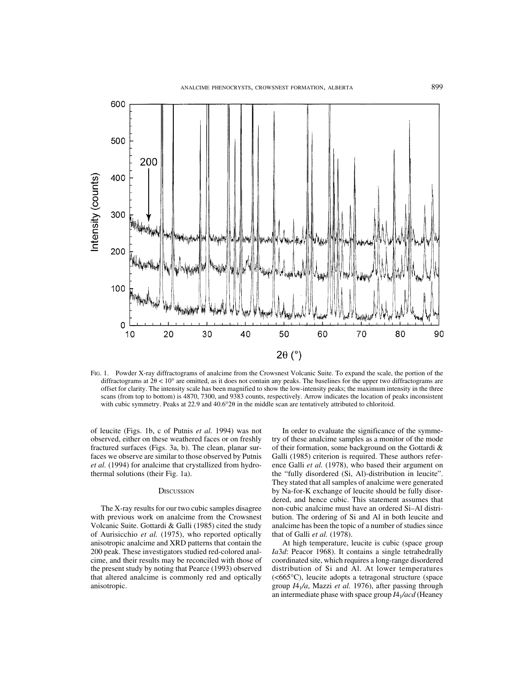

FIG. 1. Powder X-ray diffractograms of analcime from the Crowsnest Volcanic Suite. To expand the scale, the portion of the diffractograms at  $2\theta < 10^{\circ}$  are omitted, as it does not contain any peaks. The baselines for the upper two diffractograms are offset for clarity. The intensity scale has been magnified to show the low-intensity peaks; the maximum intensity in the three scans (from top to bottom) is 4870, 7300, and 9383 counts, respectively. Arrow indicates the location of peaks inconsistent with cubic symmetry. Peaks at  $22.9$  and  $40.6^{\circ}2\theta$  in the middle scan are tentatively attributed to chloritoid.

of leucite (Figs. 1b, c of Putnis *et al.* 1994) was not observed, either on these weathered faces or on freshly fractured surfaces (Figs. 3a, b). The clean, planar surfaces we observe are similar to those observed by Putnis *et al.* (1994) for analcime that crystallized from hydrothermal solutions (their Fig. 1a).

#### **DISCUSSION**

The X-ray results for our two cubic samples disagree with previous work on analcime from the Crowsnest Volcanic Suite. Gottardi & Galli (1985) cited the study of Aurisicchio *et al.* (1975), who reported optically anisotropic analcime and XRD patterns that contain the 200 peak. These investigators studied red-colored analcime, and their results may be reconciled with those of the present study by noting that Pearce (1993) observed that altered analcime is commonly red and optically anisotropic.

In order to evaluate the significance of the symmetry of these analcime samples as a monitor of the mode of their formation, some background on the Gottardi & Galli (1985) criterion is required. These authors reference Galli *et al.* (1978), who based their argument on the "fully disordered (Si, Al)-distribution in leucite". They stated that all samples of analcime were generated by Na-for-K exchange of leucite should be fully disordered, and hence cubic. This statement assumes that non-cubic analcime must have an ordered Si–Al distribution. The ordering of Si and Al in both leucite and analcime has been the topic of a number of studies since that of Galli *et al.* (1978).

At high temperature, leucite is cubic (space group *Ia*3*d*: Peacor 1968). It contains a single tetrahedrally coordinated site, which requires a long-range disordered distribution of Si and Al. At lower temperatures (<665°C), leucite adopts a tetragonal structure (space group *I*41*/a*, Mazzi *et al.* 1976), after passing through an intermediate phase with space group *I*41*/acd* (Heaney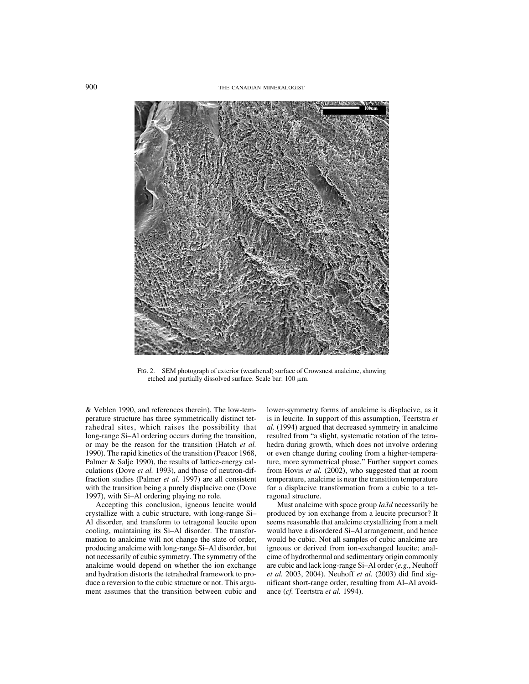

FIG. 2. SEM photograph of exterior (weathered) surface of Crowsnest analcime, showing etched and partially dissolved surface. Scale bar:  $100 \mu m$ .

& Veblen 1990, and references therein). The low-temperature structure has three symmetrically distinct tetrahedral sites, which raises the possibility that long-range Si–Al ordering occurs during the transition, or may be the reason for the transition (Hatch *et al.* 1990). The rapid kinetics of the transition (Peacor 1968, Palmer & Salje 1990), the results of lattice-energy calculations (Dove *et al.* 1993), and those of neutron-diffraction studies (Palmer *et al.* 1997) are all consistent with the transition being a purely displacive one (Dove 1997), with Si–Al ordering playing no role.

Accepting this conclusion, igneous leucite would crystallize with a cubic structure, with long-range Si– Al disorder, and transform to tetragonal leucite upon cooling, maintaining its Si–Al disorder. The transformation to analcime will not change the state of order, producing analcime with long-range Si–Al disorder, but not necessarily of cubic symmetry. The symmetry of the analcime would depend on whether the ion exchange and hydration distorts the tetrahedral framework to produce a reversion to the cubic structure or not. This argument assumes that the transition between cubic and lower-symmetry forms of analcime is displacive, as it is in leucite. In support of this assumption, Teertstra *et al.* (1994) argued that decreased symmetry in analcime resulted from "a slight, systematic rotation of the tetrahedra during growth, which does not involve ordering or even change during cooling from a higher-temperature, more symmetrical phase." Further support comes from Hovis *et al.* (2002), who suggested that at room temperature, analcime is near the transition temperature for a displacive transformation from a cubic to a tetragonal structure.

Must analcime with space group *Ia3d* necessarily be produced by ion exchange from a leucite precursor? It seems reasonable that analcime crystallizing from a melt would have a disordered Si–Al arrangement, and hence would be cubic. Not all samples of cubic analcime are igneous or derived from ion-exchanged leucite; analcime of hydrothermal and sedimentary origin commonly are cubic and lack long-range Si–Al order (*e.g.*, Neuhoff *et al.* 2003, 2004). Neuhoff *et al.* (2003) did find significant short-range order, resulting from Al–Al avoidance (*cf.* Teertstra *et al.* 1994).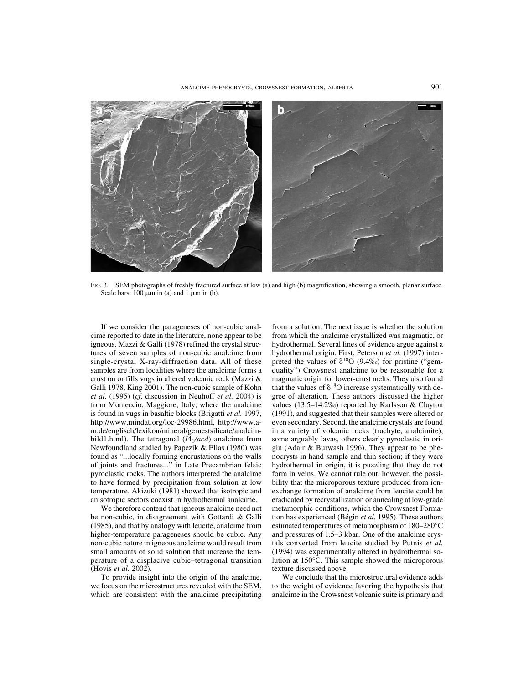

FIG. 3. SEM photographs of freshly fractured surface at low (a) and high (b) magnification, showing a smooth, planar surface. Scale bars:  $100 \mu m$  in (a) and  $1 \mu m$  in (b).

If we consider the parageneses of non-cubic analcime reported to date in the literature, none appear to be igneous. Mazzi & Galli (1978) refined the crystal structures of seven samples of non-cubic analcime from single-crystal X-ray-diffraction data. All of these samples are from localities where the analcime forms a crust on or fills vugs in altered volcanic rock (Mazzi & Galli 1978, King 2001). The non-cubic sample of Kohn *et al.* (1995) (*cf*. discussion in Neuhoff *et al.* 2004) is from Monteccio, Maggiore, Italy, where the analcime is found in vugs in basaltic blocks (Brigatti *et al.* 1997, http://www.mindat.org/loc-29986.html, http://www.am.de/englisch/lexikon/mineral/geruestsilicate/analcimbild1.html). The tetragonal (*I*4<sub>1</sub>/acd) analcime from Newfoundland studied by Papezik & Elias (1980) was found as "...locally forming encrustations on the walls of joints and fractures..." in Late Precambrian felsic pyroclastic rocks. The authors interpreted the analcime to have formed by precipitation from solution at low temperature. Akizuki (1981) showed that isotropic and anisotropic sectors coexist in hydrothermal analcime.

We therefore contend that igneous analcime need not be non-cubic, in disagreement with Gottardi & Galli (1985), and that by analogy with leucite, analcime from higher-temperature parageneses should be cubic. Any non-cubic nature in igneous analcime would result from small amounts of solid solution that increase the temperature of a displacive cubic–tetragonal transition (Hovis *et al.* 2002).

To provide insight into the origin of the analcime, we focus on the microstructures revealed with the SEM, which are consistent with the analcime precipitating from a solution. The next issue is whether the solution from which the analcime crystallized was magmatic, or hydrothermal. Several lines of evidence argue against a hydrothermal origin. First, Peterson *et al.* (1997) interpreted the values of  $\delta^{18}O$  (9.4‰) for pristine ("gemquality") Crowsnest analcime to be reasonable for a magmatic origin for lower-crust melts. They also found that the values of  $\delta^{18}O$  increase systematically with degree of alteration. These authors discussed the higher values (13.5–14.2‰) reported by Karlsson & Clayton (1991), and suggested that their samples were altered or even secondary. Second, the analcime crystals are found in a variety of volcanic rocks (trachyte, analcimite), some arguably lavas, others clearly pyroclastic in origin (Adair & Burwash 1996). They appear to be phenocrysts in hand sample and thin section; if they were hydrothermal in origin, it is puzzling that they do not form in veins. We cannot rule out, however, the possibility that the microporous texture produced from ionexchange formation of analcime from leucite could be eradicated by recrystallization or annealing at low-grade metamorphic conditions, which the Crowsnest Formation has experienced (Bégin *et al.* 1995). These authors estimated temperatures of metamorphism of 180–280°C and pressures of 1.5–3 kbar. One of the analcime crystals converted from leucite studied by Putnis *et al.* (1994) was experimentally altered in hydrothermal solution at 150°C. This sample showed the microporous texture discussed above.

We conclude that the microstructural evidence adds to the weight of evidence favoring the hypothesis that analcime in the Crowsnest volcanic suite is primary and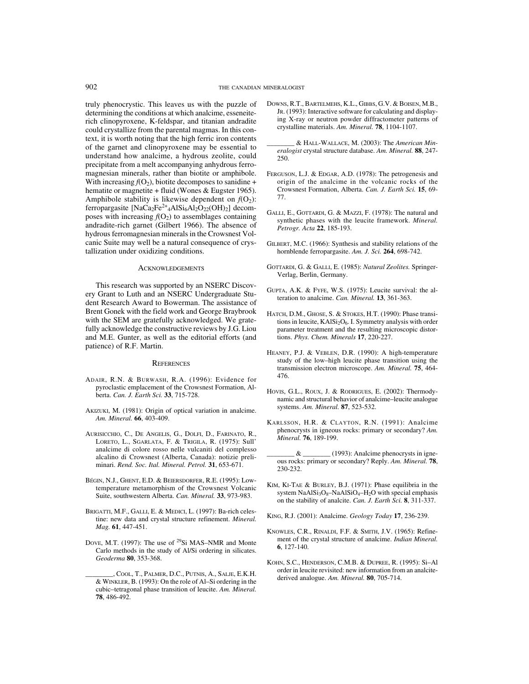truly phenocrystic. This leaves us with the puzzle of determining the conditions at which analcime, esseneiterich clinopyroxene, K-feldspar, and titanian andradite could crystallize from the parental magmas. In this context, it is worth noting that the high ferric iron contents of the garnet and clinopyroxene may be essential to understand how analcime, a hydrous zeolite, could precipitate from a melt accompanying anhydrous ferromagnesian minerals, rather than biotite or amphibole. With increasing  $f(O_2)$ , biotite decomposes to sanidine + hematite or magnetite + fluid (Wones & Eugster 1965). Amphibole stability is likewise dependent on  $f(O_2)$ : ferropargasite  $[NaCa<sub>2</sub>Fe<sup>2+</sup><sub>4</sub>AlSi<sub>6</sub>Al<sub>2</sub>O<sub>22</sub>(OH)<sub>2</sub>] decom$ poses with increasing  $f(O_2)$  to assemblages containing andradite-rich garnet (Gilbert 1966). The absence of hydrous ferromagnesian minerals in the Crowsnest Volcanic Suite may well be a natural consequence of crystallization under oxidizing conditions.

#### **ACKNOWLEDGEMENTS**

This research was supported by an NSERC Discovery Grant to Luth and an NSERC Undergraduate Student Research Award to Bowerman. The assistance of Brent Gonek with the field work and George Braybrook with the SEM are gratefully acknowledged. We gratefully acknowledge the constructive reviews by J.G. Liou and M.E. Gunter, as well as the editorial efforts (and patience) of R.F. Martin.

#### **REFERENCES**

- ADAIR, R.N. & BURWASH, R.A. (1996): Evidence for pyroclastic emplacement of the Crowsnest Formation, Alberta. *Can. J. Earth Sci.* **33**, 715-728.
- AKIZUKI, M. (1981): Origin of optical variation in analcime. *Am. Mineral.* **66**, 403-409.
- AURISICCHIO, C., DE ANGELIS, G., DOLFI, D., FARINATO, R., LORETO, L., SGARLATA, F. & TRIGILA, R. (1975): Sull' analcime di colore rosso nelle vulcaniti del complesso alcalino di Crowsnest (Alberta, Canada): notizie preliminari. *Rend. Soc. Ital. Mineral. Petrol.* **31**, 653-671.
- BÉGIN, N.J., GHENT, E.D. & BEIERSDORFER, R.E. (1995): Lowtemperature metamorphism of the Crowsnest Volcanic Suite, southwestern Alberta. *Can. Mineral.* **33**, 973-983.
- BRIGATTI, M.F., GALLI, E. & MEDICI, L. (1997): Ba-rich celestine: new data and crystal structure refinement. *Mineral. Mag.* **61**, 447-451.
- DOVE, M.T. (1997): The use of <sup>29</sup>Si MAS–NMR and Monte Carlo methods in the study of Al/Si ordering in silicates. *Geoderma* **80**, 353-368.
- \_\_\_\_\_\_\_\_, COOL, T., PALMER, D.C., PUTNIS, A., SALJE, E.K.H. & WINKLER, B. (1993): On the role of Al–Si ordering in the cubic–tetragonal phase transition of leucite. *Am. Mineral.* **78**, 486-492.
- DOWNS, R.T., BARTELMEHS, K.L., GIBBS, G.V. & BOISEN, M.B., JR. (1993): Interactive software for calculating and displaying X-ray or neutron powder diffractometer patterns of crystalline materials. *Am. Mineral.* **78**, 1104-1107.
- \_\_\_\_\_\_\_\_ & HALL-WALLACE, M. (2003): The *American Mineralogist* crystal structure database. *Am. Mineral.* **88**, 247- 250.
- FERGUSON, L.J. & EDGAR, A.D. (1978): The petrogenesis and origin of the analcime in the volcanic rocks of the Crowsnest Formation, Alberta. *Can. J. Earth Sci.* **15**, 69- 77.
- GALLI, E., GOTTARDI, G. & MAZZI, F. (1978): The natural and synthetic phases with the leucite framework. *Mineral. Petrogr. Acta* **22**, 185-193.
- GILBERT, M.C. (1966): Synthesis and stability relations of the hornblende ferropargasite. *Am. J. Sci.* **264**, 698-742.
- GOTTARDI, G. & GALLI, E. (1985): *Natural Zeolites.* Springer-Verlag, Berlin, Germany.
- GUPTA, A.K. & FYFE, W.S. (1975): Leucite survival: the alteration to analcime. *Can. Mineral.* **13**, 361-363.
- HATCH, D.M., GHOSE, S. & STOKES, H.T. (1990): Phase transitions in leucite,  $KAISi<sub>2</sub>O<sub>6</sub>$ . I. Symmetry analysis with order parameter treatment and the resulting microscopic distortions. *Phys. Chem. Minerals* **17**, 220-227.
- HEANEY, P.J. & VEBLEN, D.R. (1990): A high-temperature study of the low–high leucite phase transition using the transmission electron microscope. *Am. Mineral.* **75**, 464- 476.
- HOVIS, G.L., ROUX, J. & RODRIGUES, E. (2002): Thermodynamic and structural behavior of analcime–leucite analogue systems. *Am. Mineral.* **87**, 523-532.
- KARLSSON, H.R. & CLAYTON, R.N. (1991): Analcime phenocrysts in igneous rocks: primary or secondary? *Am. Mineral.* **76**, 189-199.
- $\&$  \_\_\_\_\_\_\_\_\_ (1993): Analcime phenocrysts in igneous rocks: primary or secondary? Reply. *Am. Mineral.* **78**, 230-232.
- KIM, KI-TAE & BURLEY, B.J. (1971): Phase equilibria in the system  $NaAlSi<sub>3</sub>O<sub>8</sub>–NaAlSiO<sub>4</sub>–H<sub>2</sub>O$  with special emphasis on the stability of analcite. *Can. J. Earth Sci.* **8**, 311-337.
- KING, R.J. (2001): Analcime. *Geology Today* **17**, 236-239.
- KNOWLES, C.R., RINALDI, F.F. & SMITH, J.V. (1965): Refinement of the crystal structure of analcime. *Indian Mineral.* **6**, 127-140.
- KOHN, S.C., HENDERSON, C.M.B. & DUPREE, R. (1995): Si–Al order in leucite revisited: new information from an analcitederived analogue. *Am. Mineral.* **80**, 705-714.